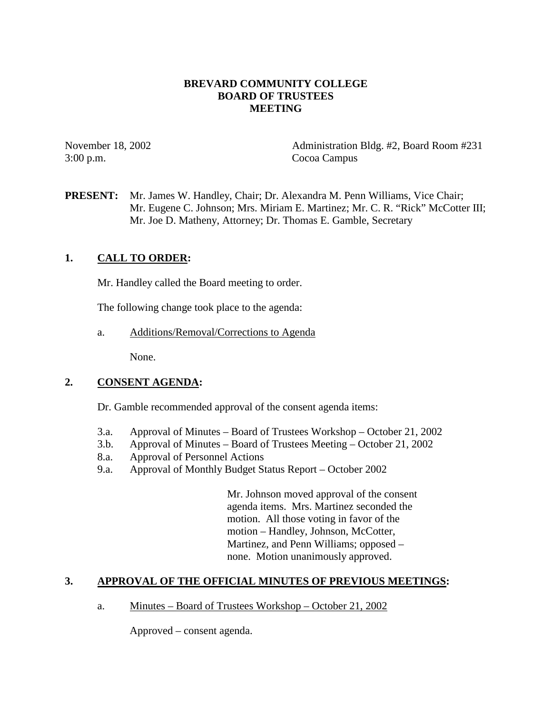## **BREVARD COMMUNITY COLLEGE BOARD OF TRUSTEES MEETING**

3:00 p.m. Cocoa Campus

November 18, 2002 Administration Bldg. #2, Board Room #231

**PRESENT:** Mr. James W. Handley, Chair; Dr. Alexandra M. Penn Williams, Vice Chair; Mr. Eugene C. Johnson; Mrs. Miriam E. Martinez; Mr. C. R. "Rick" McCotter III; Mr. Joe D. Matheny, Attorney; Dr. Thomas E. Gamble, Secretary

## **1. CALL TO ORDER:**

Mr. Handley called the Board meeting to order.

The following change took place to the agenda:

a. Additions/Removal/Corrections to Agenda

None.

#### **2. CONSENT AGENDA:**

Dr. Gamble recommended approval of the consent agenda items:

- 3.a. Approval of Minutes Board of Trustees Workshop October 21, 2002
- 3.b. Approval of Minutes Board of Trustees Meeting October 21, 2002
- 8.a. Approval of Personnel Actions
- 9.a. Approval of Monthly Budget Status Report October 2002

Mr. Johnson moved approval of the consent agenda items. Mrs. Martinez seconded the motion. All those voting in favor of the motion – Handley, Johnson, McCotter, Martinez, and Penn Williams; opposed – none. Motion unanimously approved.

### **3. APPROVAL OF THE OFFICIAL MINUTES OF PREVIOUS MEETINGS:**

a. Minutes – Board of Trustees Workshop – October 21, 2002

Approved – consent agenda.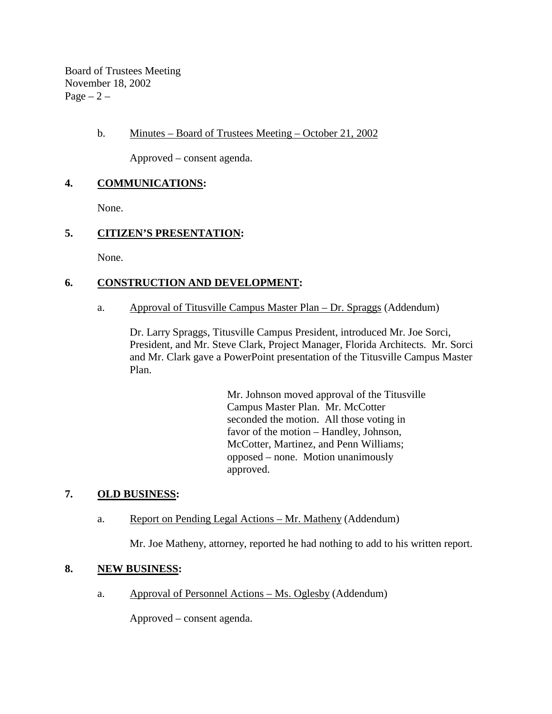Board of Trustees Meeting November 18, 2002  $Page - 2 -$ 

## b. Minutes – Board of Trustees Meeting – October 21, 2002

Approved – consent agenda.

## **4. COMMUNICATIONS:**

None.

# **5. CITIZEN'S PRESENTATION:**

None.

# **6. CONSTRUCTION AND DEVELOPMENT:**

a. Approval of Titusville Campus Master Plan – Dr. Spraggs (Addendum)

Dr. Larry Spraggs, Titusville Campus President, introduced Mr. Joe Sorci, President, and Mr. Steve Clark, Project Manager, Florida Architects. Mr. Sorci and Mr. Clark gave a PowerPoint presentation of the Titusville Campus Master Plan.

> Mr. Johnson moved approval of the Titusville Campus Master Plan. Mr. McCotter seconded the motion. All those voting in favor of the motion – Handley, Johnson, McCotter, Martinez, and Penn Williams; opposed – none. Motion unanimously approved.

# **7. OLD BUSINESS:**

a. Report on Pending Legal Actions – Mr. Matheny (Addendum)

Mr. Joe Matheny, attorney, reported he had nothing to add to his written report.

### **8. NEW BUSINESS:**

a. Approval of Personnel Actions – Ms. Oglesby (Addendum)

Approved – consent agenda.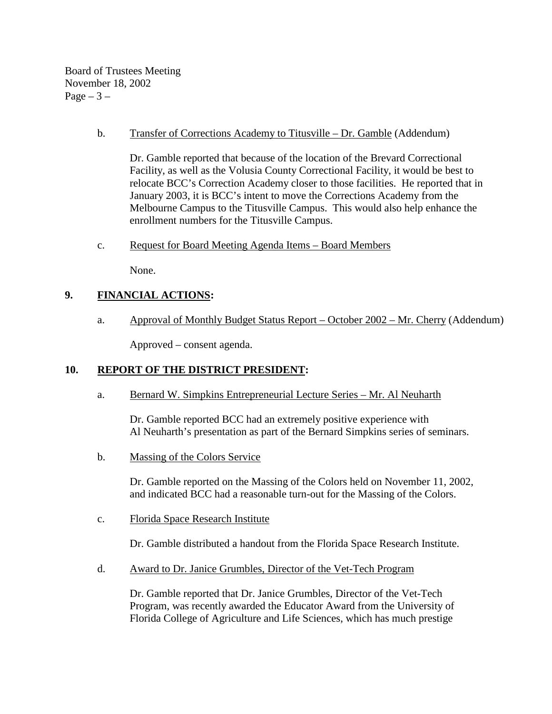Board of Trustees Meeting November 18, 2002 Page  $-3-$ 

## b. Transfer of Corrections Academy to Titusville – Dr. Gamble (Addendum)

Dr. Gamble reported that because of the location of the Brevard Correctional Facility, as well as the Volusia County Correctional Facility, it would be best to relocate BCC's Correction Academy closer to those facilities. He reported that in January 2003, it is BCC's intent to move the Corrections Academy from the Melbourne Campus to the Titusville Campus. This would also help enhance the enrollment numbers for the Titusville Campus.

c. Request for Board Meeting Agenda Items – Board Members

None.

# **9. FINANCIAL ACTIONS:**

a. Approval of Monthly Budget Status Report – October 2002 – Mr. Cherry (Addendum)

Approved – consent agenda.

# **10. REPORT OF THE DISTRICT PRESIDENT:**

a. Bernard W. Simpkins Entrepreneurial Lecture Series – Mr. Al Neuharth

Dr. Gamble reported BCC had an extremely positive experience with Al Neuharth's presentation as part of the Bernard Simpkins series of seminars.

b. Massing of the Colors Service

Dr. Gamble reported on the Massing of the Colors held on November 11, 2002, and indicated BCC had a reasonable turn-out for the Massing of the Colors.

c. Florida Space Research Institute

Dr. Gamble distributed a handout from the Florida Space Research Institute.

d. Award to Dr. Janice Grumbles, Director of the Vet-Tech Program

Dr. Gamble reported that Dr. Janice Grumbles, Director of the Vet-Tech Program, was recently awarded the Educator Award from the University of Florida College of Agriculture and Life Sciences, which has much prestige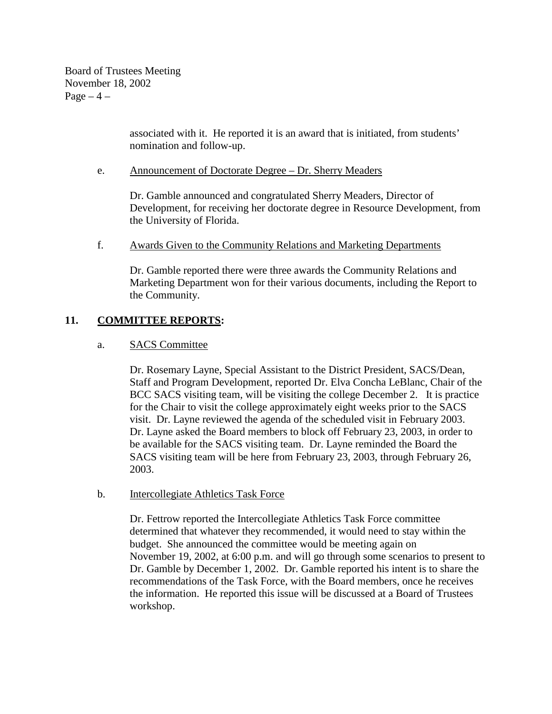Board of Trustees Meeting November 18, 2002  $Page-4$  –

> associated with it. He reported it is an award that is initiated, from students' nomination and follow-up.

### e. Announcement of Doctorate Degree – Dr. Sherry Meaders

Dr. Gamble announced and congratulated Sherry Meaders, Director of Development, for receiving her doctorate degree in Resource Development, from the University of Florida.

### f. Awards Given to the Community Relations and Marketing Departments

Dr. Gamble reported there were three awards the Community Relations and Marketing Department won for their various documents, including the Report to the Community.

## **11. COMMITTEE REPORTS:**

### a. SACS Committee

Dr. Rosemary Layne, Special Assistant to the District President, SACS/Dean, Staff and Program Development, reported Dr. Elva Concha LeBlanc, Chair of the BCC SACS visiting team, will be visiting the college December 2. It is practice for the Chair to visit the college approximately eight weeks prior to the SACS visit. Dr. Layne reviewed the agenda of the scheduled visit in February 2003. Dr. Layne asked the Board members to block off February 23, 2003, in order to be available for the SACS visiting team. Dr. Layne reminded the Board the SACS visiting team will be here from February 23, 2003, through February 26, 2003.

### b. Intercollegiate Athletics Task Force

Dr. Fettrow reported the Intercollegiate Athletics Task Force committee determined that whatever they recommended, it would need to stay within the budget. She announced the committee would be meeting again on November 19, 2002, at 6:00 p.m. and will go through some scenarios to present to Dr. Gamble by December 1, 2002. Dr. Gamble reported his intent is to share the recommendations of the Task Force, with the Board members, once he receives the information. He reported this issue will be discussed at a Board of Trustees workshop.